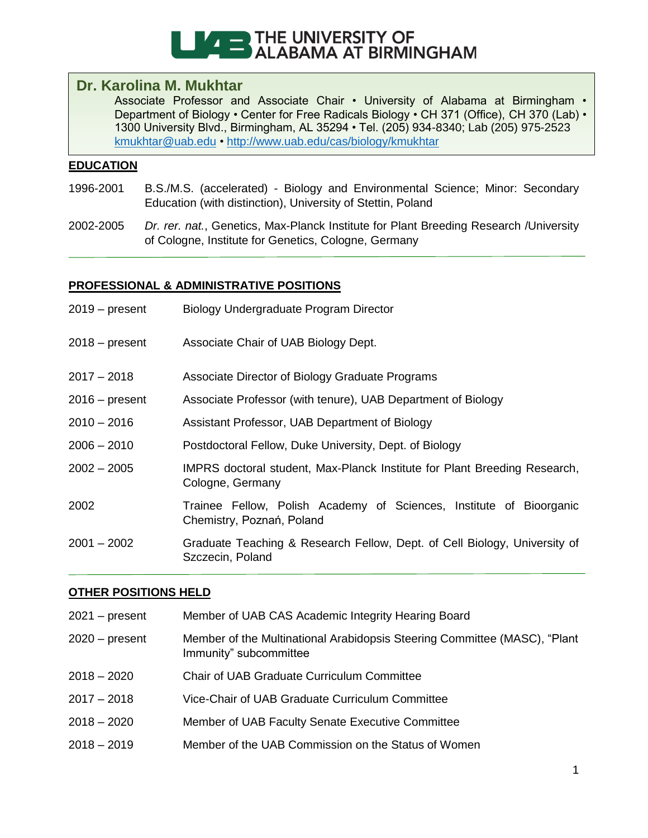

# **Dr. Karolina M. Mukhtar**

Associate Professor and Associate Chair • University of Alabama at Birmingham • Department of Biology • Center for Free Radicals Biology • CH 371 (Office), CH 370 (Lab) • 1300 University Blvd., Birmingham, AL 35294 • Tel. (205) 934-8340; Lab (205) 975-2523 [kmukhtar@uab.edu](mailto:kmukhtar@uab.edu) •<http://www.uab.edu/cas/biology/kmukhtar>

## **EDUCATION**

- 1996-2001 B.S./M.S. (accelerated) Biology and Environmental Science; Minor: Secondary Education (with distinction), University of Stettin, Poland
- 2002-2005 *Dr. rer. nat.*, Genetics, Max-Planck Institute for Plant Breeding Research /University of Cologne, Institute for Genetics, Cologne, Germany

### **PROFESSIONAL & ADMINISTRATIVE POSITIONS**

| $2019 - present$ | Biology Undergraduate Program Director                                                           |
|------------------|--------------------------------------------------------------------------------------------------|
| $2018 - present$ | Associate Chair of UAB Biology Dept.                                                             |
| $2017 - 2018$    | Associate Director of Biology Graduate Programs                                                  |
| $2016 - present$ | Associate Professor (with tenure), UAB Department of Biology                                     |
| $2010 - 2016$    | Assistant Professor, UAB Department of Biology                                                   |
| $2006 - 2010$    | Postdoctoral Fellow, Duke University, Dept. of Biology                                           |
| $2002 - 2005$    | IMPRS doctoral student, Max-Planck Institute for Plant Breeding Research,<br>Cologne, Germany    |
| 2002             | Trainee Fellow, Polish Academy of Sciences, Institute of Bioorganic<br>Chemistry, Poznań, Poland |
| $2001 - 2002$    | Graduate Teaching & Research Fellow, Dept. of Cell Biology, University of<br>Szczecin, Poland    |

# **OTHER POSITIONS HELD**

| $2021 - present$ | Member of UAB CAS Academic Integrity Hearing Board                                                  |
|------------------|-----------------------------------------------------------------------------------------------------|
| $2020 - present$ | Member of the Multinational Arabidopsis Steering Committee (MASC), "Plant<br>Immunity" subcommittee |
| 2018 – 2020      | <b>Chair of UAB Graduate Curriculum Committee</b>                                                   |
| 2017 – 2018      | Vice-Chair of UAB Graduate Curriculum Committee                                                     |
| 2018 – 2020      | Member of UAB Faculty Senate Executive Committee                                                    |
| 2018 – 2019      | Member of the UAB Commission on the Status of Women                                                 |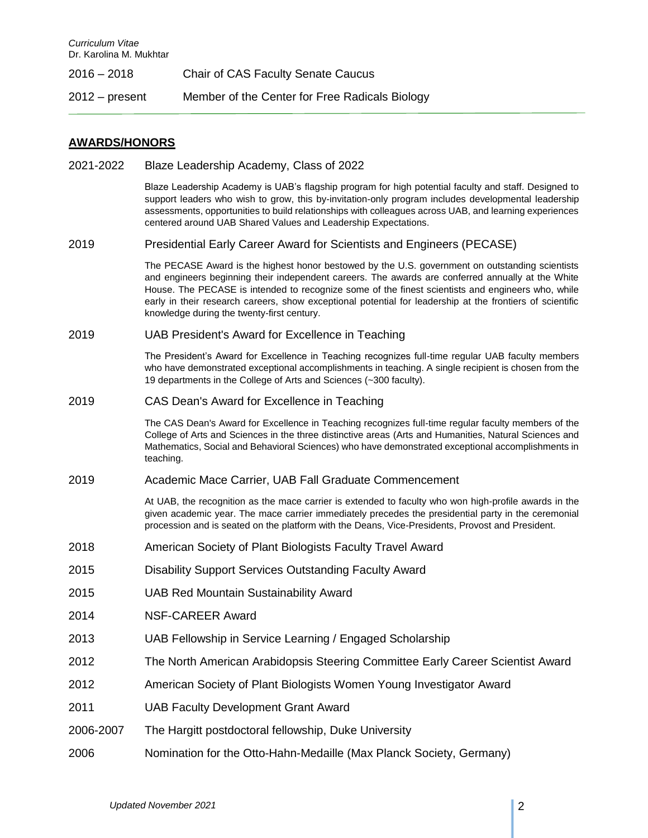| $2016 - 2018$    | <b>Chair of CAS Faculty Senate Caucus</b>      |
|------------------|------------------------------------------------|
| $2012 - present$ | Member of the Center for Free Radicals Biology |

#### **AWARDS/HONORS**

2021-2022 Blaze Leadership Academy, Class of 2022

Blaze Leadership Academy is UAB's flagship program for high potential faculty and staff. Designed to support leaders who wish to grow, this by-invitation-only program includes developmental leadership assessments, opportunities to build relationships with colleagues across UAB, and learning experiences centered around UAB Shared Values and Leadership Expectations.

2019 Presidential Early Career Award for Scientists and Engineers (PECASE)

The PECASE Award is the highest honor bestowed by the U.S. government on outstanding scientists and engineers beginning their independent careers. The awards are conferred annually at the White House. The PECASE is intended to recognize some of the finest scientists and engineers who, while early in their research careers, show exceptional potential for leadership at the frontiers of scientific knowledge during the twenty-first century.

2019 UAB President's Award for Excellence in Teaching

The President's Award for Excellence in Teaching recognizes full-time regular UAB faculty members who have demonstrated exceptional accomplishments in teaching. A single recipient is chosen from the 19 departments in the College of Arts and Sciences (~300 faculty).

2019 CAS Dean's Award for Excellence in Teaching

The CAS Dean's Award for Excellence in Teaching recognizes full-time regular faculty members of the College of Arts and Sciences in the three distinctive areas (Arts and Humanities, Natural Sciences and Mathematics, Social and Behavioral Sciences) who have demonstrated exceptional accomplishments in teaching.

2019 Academic Mace Carrier, UAB Fall Graduate Commencement

At UAB, the recognition as the mace carrier is extended to faculty who won high-profile awards in the given academic year. The mace carrier immediately precedes the presidential party in the ceremonial procession and is seated on the platform with the Deans, Vice-Presidents, Provost and President.

- 2018 American Society of Plant Biologists Faculty Travel Award
- 2015 Disability Support Services Outstanding Faculty Award
- 2015 UAB Red Mountain Sustainability Award
- 2014 NSF-CAREER Award
- 2013 UAB Fellowship in Service Learning / Engaged Scholarship
- 2012 The North American Arabidopsis Steering Committee Early Career Scientist Award
- 2012 American Society of Plant Biologists Women Young Investigator Award
- 2011 UAB Faculty Development Grant Award
- 2006-2007 The Hargitt postdoctoral fellowship, Duke University
- 2006 Nomination for the Otto-Hahn-Medaille (Max Planck Society, Germany)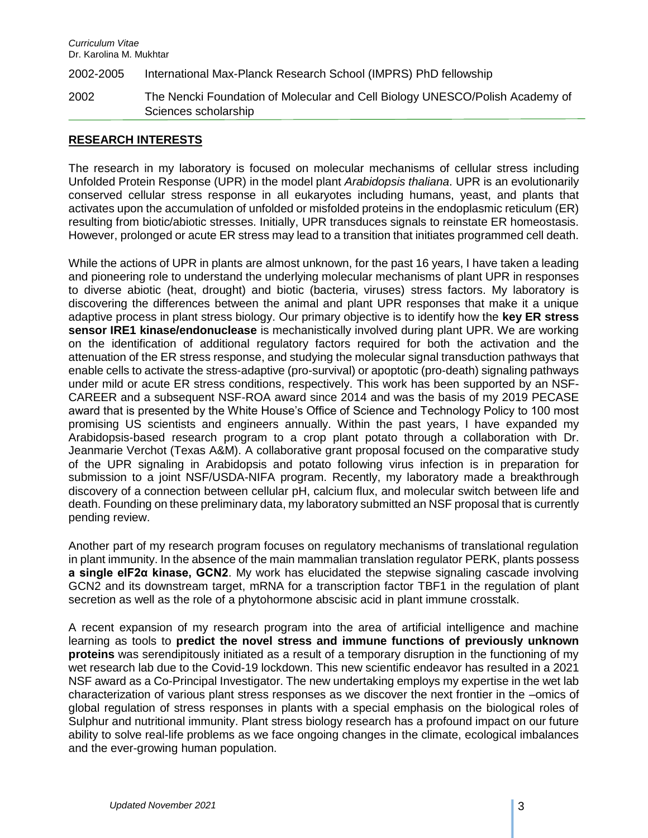2002-2005 International Max-Planck Research School (IMPRS) PhD fellowship

2002 The Nencki Foundation of Molecular and Cell Biology UNESCO/Polish Academy of Sciences scholarship

### **RESEARCH INTERESTS**

The research in my laboratory is focused on molecular mechanisms of cellular stress including Unfolded Protein Response (UPR) in the model plant *Arabidopsis thaliana*. UPR is an evolutionarily conserved cellular stress response in all eukaryotes including humans, yeast, and plants that activates upon the accumulation of unfolded or misfolded proteins in the endoplasmic reticulum (ER) resulting from biotic/abiotic stresses. Initially, UPR transduces signals to reinstate ER homeostasis. However, prolonged or acute ER stress may lead to a transition that initiates programmed cell death.

While the actions of UPR in plants are almost unknown, for the past 16 years, I have taken a leading and pioneering role to understand the underlying molecular mechanisms of plant UPR in responses to diverse abiotic (heat, drought) and biotic (bacteria, viruses) stress factors. My laboratory is discovering the differences between the animal and plant UPR responses that make it a unique adaptive process in plant stress biology. Our primary objective is to identify how the **key ER stress sensor IRE1 kinase/endonuclease** is mechanistically involved during plant UPR. We are working on the identification of additional regulatory factors required for both the activation and the attenuation of the ER stress response, and studying the molecular signal transduction pathways that enable cells to activate the stress-adaptive (pro-survival) or apoptotic (pro-death) signaling pathways under mild or acute ER stress conditions, respectively. This work has been supported by an NSF-CAREER and a subsequent NSF-ROA award since 2014 and was the basis of my 2019 PECASE award that is presented by the White House's Office of Science and Technology Policy to 100 most promising US scientists and engineers annually. Within the past years, I have expanded my Arabidopsis-based research program to a crop plant potato through a collaboration with Dr. Jeanmarie Verchot (Texas A&M). A collaborative grant proposal focused on the comparative study of the UPR signaling in Arabidopsis and potato following virus infection is in preparation for submission to a joint NSF/USDA-NIFA program. Recently, my laboratory made a breakthrough discovery of a connection between cellular pH, calcium flux, and molecular switch between life and death. Founding on these preliminary data, my laboratory submitted an NSF proposal that is currently pending review.

Another part of my research program focuses on regulatory mechanisms of translational regulation in plant immunity. In the absence of the main mammalian translation regulator PERK, plants possess **a single eIF2α kinase, GCN2**. My work has elucidated the stepwise signaling cascade involving GCN2 and its downstream target, mRNA for a transcription factor TBF1 in the regulation of plant secretion as well as the role of a phytohormone abscisic acid in plant immune crosstalk.

A recent expansion of my research program into the area of artificial intelligence and machine learning as tools to **predict the novel stress and immune functions of previously unknown proteins** was serendipitously initiated as a result of a temporary disruption in the functioning of my wet research lab due to the Covid-19 lockdown. This new scientific endeavor has resulted in a 2021 NSF award as a Co-Principal Investigator. The new undertaking employs my expertise in the wet lab characterization of various plant stress responses as we discover the next frontier in the –omics of global regulation of stress responses in plants with a special emphasis on the biological roles of Sulphur and nutritional immunity. Plant stress biology research has a profound impact on our future ability to solve real-life problems as we face ongoing changes in the climate, ecological imbalances and the ever-growing human population.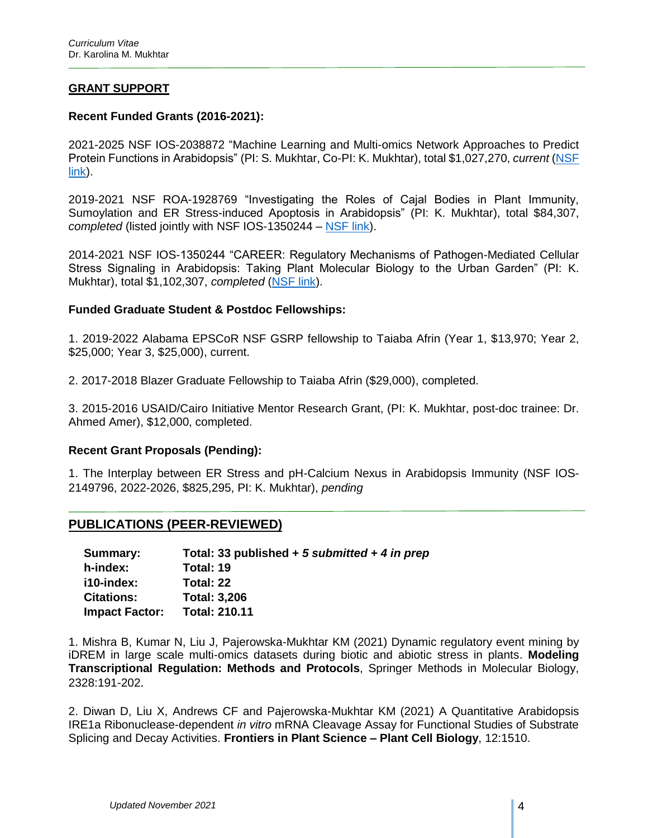## **GRANT SUPPORT**

### **Recent Funded Grants (2016-2021):**

2021-2025 NSF IOS-2038872 "Machine Learning and Multi-omics Network Approaches to Predict Protein Functions in Arabidopsis" (PI: S. Mukhtar, Co-PI: K. Mukhtar), total \$1,027,270, *current* [\(NSF](https://www.nsf.gov/awardsearch/showAward?AWD_ID=2038872&HistoricalAwards=false)  [link\)](https://www.nsf.gov/awardsearch/showAward?AWD_ID=2038872&HistoricalAwards=false).

2019-2021 NSF ROA-1928769 "Investigating the Roles of Cajal Bodies in Plant Immunity, Sumoylation and ER Stress-induced Apoptosis in Arabidopsis" (PI: K. Mukhtar), total \$84,307, *completed* (listed jointly with NSF IOS-1350244 – [NSF link\)](https://www.nsf.gov/awardsearch/showAward?AWD_ID=1350244&HistoricalAwards=false).

2014-2021 NSF IOS-1350244 "CAREER: Regulatory Mechanisms of Pathogen-Mediated Cellular Stress Signaling in Arabidopsis: Taking Plant Molecular Biology to the Urban Garden" (PI: K. Mukhtar), total \$1,102,307, *completed* [\(NSF link\)](https://www.nsf.gov/awardsearch/showAward?AWD_ID=1350244&HistoricalAwards=false).

### **Funded Graduate Student & Postdoc Fellowships:**

1. 2019-2022 Alabama EPSCoR NSF GSRP fellowship to Taiaba Afrin (Year 1, \$13,970; Year 2, \$25,000; Year 3, \$25,000), current.

2. 2017-2018 Blazer Graduate Fellowship to Taiaba Afrin (\$29,000), completed.

3. 2015-2016 USAID/Cairo Initiative Mentor Research Grant, (PI: K. Mukhtar, post-doc trainee: Dr. Ahmed Amer), \$12,000, completed.

#### **Recent Grant Proposals (Pending):**

1. The Interplay between ER Stress and pH-Calcium Nexus in Arabidopsis Immunity (NSF IOS-2149796, 2022-2026, \$825,295, PI: K. Mukhtar), *pending*

### **PUBLICATIONS (PEER-REVIEWED)**

| Summary:              | Total: 33 published + 5 submitted + 4 in prep |
|-----------------------|-----------------------------------------------|
| h-index:              | Total: 19                                     |
| i10-index:            | Total: 22                                     |
| <b>Citations:</b>     | <b>Total: 3,206</b>                           |
| <b>Impact Factor:</b> | <b>Total: 210.11</b>                          |

1. Mishra B, Kumar N, Liu J, Pajerowska-Mukhtar KM (2021) Dynamic regulatory event mining by iDREM in large scale multi-omics datasets during biotic and abiotic stress in plants. **Modeling Transcriptional Regulation: Methods and Protocols**, Springer Methods in Molecular Biology, 2328:191-202.

2. Diwan D, Liu X, Andrews CF and Pajerowska-Mukhtar KM (2021) A Quantitative Arabidopsis IRE1a Ribonuclease-dependent *in vitro* mRNA Cleavage Assay for Functional Studies of Substrate Splicing and Decay Activities. **Frontiers in Plant Science – Plant Cell Biology**, 12:1510.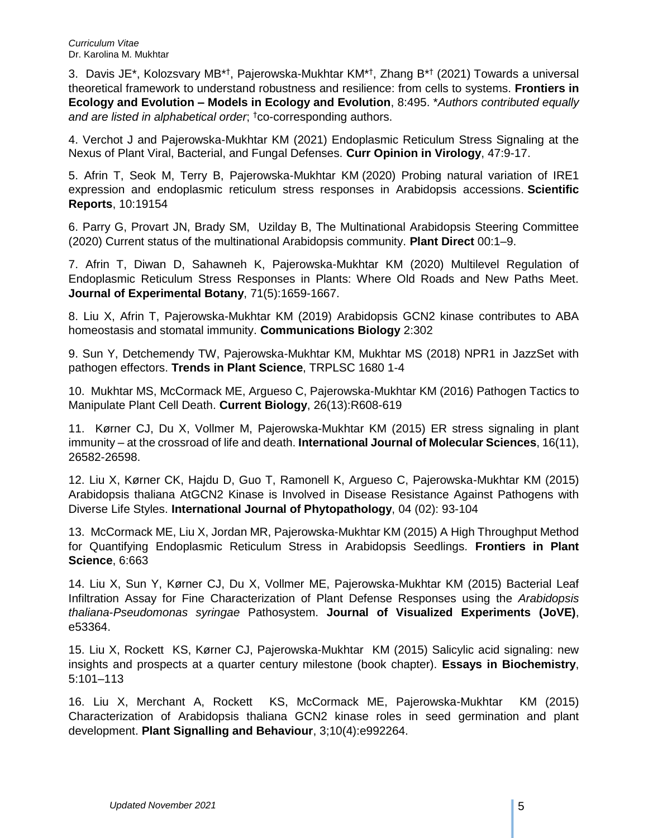3. Davis JE\*, Kolozsvary MB\*<sup>†</sup>, Pajerowska-Mukhtar KM\*<sup>†</sup>, Zhang B\*<sup>†</sup> (2021) Towards a universal theoretical framework to understand robustness and resilience: from cells to systems. **Frontiers in Ecology and Evolution – Models in Ecology and Evolution**, 8:495. \**Authors contributed equally and are listed in alphabetical order*; †co-corresponding authors.

4. Verchot J and Pajerowska-Mukhtar KM (2021) Endoplasmic Reticulum Stress Signaling at the Nexus of Plant Viral, Bacterial, and Fungal Defenses. **Curr Opinion in Virology**, 47:9-17.

5. Afrin T, Seok M, Terry B, Pajerowska-Mukhtar KM (2020) Probing natural variation of IRE1 expression and endoplasmic reticulum stress responses in Arabidopsis accessions. **Scientific Reports**, 10:19154

6. Parry G, Provart JN, Brady SM, Uzilday B, The Multinational Arabidopsis Steering Committee (2020) Current status of the multinational Arabidopsis community. **Plant Direct** 00:1–9.

7. Afrin T, Diwan D, Sahawneh K, Pajerowska-Mukhtar KM (2020) Multilevel Regulation of Endoplasmic Reticulum Stress Responses in Plants: Where Old Roads and New Paths Meet. **Journal of Experimental Botany**, 71(5):1659-1667.

8. Liu X, Afrin T, Pajerowska-Mukhtar KM (2019) Arabidopsis GCN2 kinase contributes to ABA homeostasis and stomatal immunity. **Communications Biology** 2:302

9. Sun Y, Detchemendy TW, Pajerowska-Mukhtar KM, Mukhtar MS (2018) NPR1 in JazzSet with pathogen effectors. **Trends in Plant Science**, TRPLSC 1680 1-4

10. Mukhtar MS, McCormack ME, Argueso C, Pajerowska-Mukhtar KM (2016) Pathogen Tactics to Manipulate Plant Cell Death. **Current Biology**, 26(13):R608-619

11. Kørner CJ, Du X, Vollmer M, Pajerowska-Mukhtar KM (2015) ER stress signaling in plant immunity – at the crossroad of life and death. **International Journal of Molecular Sciences**, 16(11), 26582-26598.

12. Liu X, Kørner CK, Hajdu D, Guo T, Ramonell K, Argueso C, Pajerowska-Mukhtar KM (2015) Arabidopsis thaliana AtGCN2 Kinase is Involved in Disease Resistance Against Pathogens with Diverse Life Styles. **International Journal of Phytopathology**, 04 (02): 93-104

13. McCormack ME, Liu X, Jordan MR, Pajerowska-Mukhtar KM (2015) A High Throughput Method for Quantifying Endoplasmic Reticulum Stress in Arabidopsis Seedlings. **Frontiers in Plant Science**, 6:663

14. Liu X, Sun Y, Kørner CJ, Du X, Vollmer ME, Pajerowska-Mukhtar KM (2015) Bacterial Leaf Infiltration Assay for Fine Characterization of Plant Defense Responses using the *Arabidopsis thaliana*-*Pseudomonas syringae* Pathosystem. **Journal of Visualized Experiments (JoVE)**, e53364.

15. Liu X, Rockett KS, Kørner CJ, Pajerowska-Mukhtar KM (2015) Salicylic acid signaling: new insights and prospects at a quarter century milestone (book chapter). **Essays in Biochemistry**, 5:101–113

16. Liu X, Merchant A, Rockett KS, McCormack ME, Pajerowska-Mukhtar KM (2015) Characterization of Arabidopsis thaliana GCN2 kinase roles in seed germination and plant development. **Plant Signalling and Behaviour**, 3;10(4):e992264.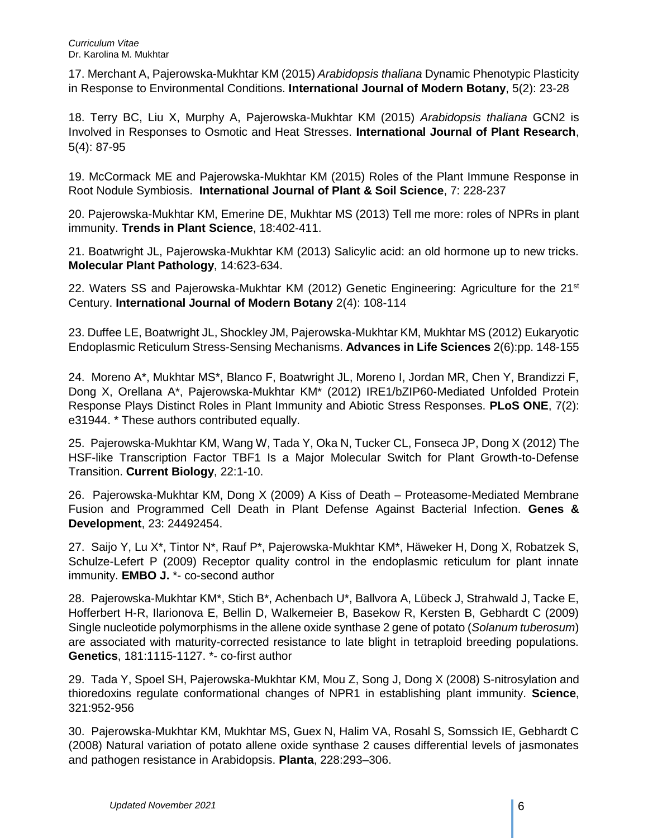17. Merchant A, Pajerowska-Mukhtar KM (2015) *Arabidopsis thaliana* Dynamic Phenotypic Plasticity in Response to Environmental Conditions. **International Journal of Modern Botany**, 5(2): 23-28

18. Terry BC, Liu X, Murphy A, Pajerowska-Mukhtar KM (2015) *Arabidopsis thaliana* GCN2 is Involved in Responses to Osmotic and Heat Stresses. **International Journal of Plant Research**, 5(4): 87-95

19. McCormack ME and Pajerowska-Mukhtar KM (2015) Roles of the Plant Immune Response in Root Nodule Symbiosis. **International Journal of Plant & Soil Science**, 7: 228-237

20. Pajerowska-Mukhtar KM, Emerine DE, Mukhtar MS (2013) Tell me more: roles of NPRs in plant immunity. **Trends in Plant Science**, 18:402-411.

21. Boatwright JL, Pajerowska-Mukhtar KM (2013) Salicylic acid: an old hormone up to new tricks. **Molecular Plant Pathology**, 14:623-634.

22. Waters SS and Pajerowska-Mukhtar KM (2012) Genetic Engineering: Agriculture for the  $21<sup>st</sup>$ Century. **International Journal of Modern Botany** 2(4): 108-114

23. Duffee LE, Boatwright JL, Shockley JM, Pajerowska-Mukhtar KM, Mukhtar MS (2012) Eukaryotic Endoplasmic Reticulum Stress-Sensing Mechanisms. **Advances in Life Sciences** 2(6):pp. 148-155

24. Moreno A\*, Mukhtar MS\*, Blanco F, Boatwright JL, Moreno I, Jordan MR, Chen Y, Brandizzi F, Dong X, Orellana A\*, Pajerowska-Mukhtar KM\* (2012) IRE1/bZIP60-Mediated Unfolded Protein Response Plays Distinct Roles in Plant Immunity and Abiotic Stress Responses. **PLoS ONE**, 7(2): e31944. \* These authors contributed equally.

25. Pajerowska-Mukhtar KM, Wang W, Tada Y, Oka N, Tucker CL, Fonseca JP, Dong X (2012) The HSF-like Transcription Factor TBF1 Is a Major Molecular Switch for Plant Growth-to-Defense Transition. **Current Biology**, 22:1-10.

26. Pajerowska-Mukhtar KM, Dong X (2009) A Kiss of Death – Proteasome-Mediated Membrane Fusion and Programmed Cell Death in Plant Defense Against Bacterial Infection. **Genes & Development**, 23: 24492454.

27. Saijo Y, Lu X\*, Tintor N\*, Rauf P\*, Pajerowska-Mukhtar KM\*, Häweker H, Dong X, Robatzek S, Schulze-Lefert P (2009) Receptor quality control in the endoplasmic reticulum for plant innate immunity. **EMBO J.** \*- co-second author

28. Pajerowska-Mukhtar KM\*, Stich B\*, Achenbach U\*, Ballvora A, Lübeck J, Strahwald J, Tacke E, Hofferbert H-R, Ilarionova E, Bellin D, Walkemeier B, Basekow R, Kersten B, Gebhardt C (2009) Single nucleotide polymorphisms in the allene oxide synthase 2 gene of potato (*Solanum tuberosum*) are associated with maturity-corrected resistance to late blight in tetraploid breeding populations. **Genetics**, 181:1115-1127. \*- co-first author

29. Tada Y, Spoel SH, Pajerowska-Mukhtar KM, Mou Z, Song J, Dong X (2008) S-nitrosylation and thioredoxins regulate conformational changes of NPR1 in establishing plant immunity. **Science**, 321:952-956

30. Pajerowska-Mukhtar KM, Mukhtar MS, Guex N, Halim VA, Rosahl S, Somssich IE, Gebhardt C (2008) Natural variation of potato allene oxide synthase 2 causes differential levels of jasmonates and pathogen resistance in Arabidopsis. **Planta**, 228:293–306.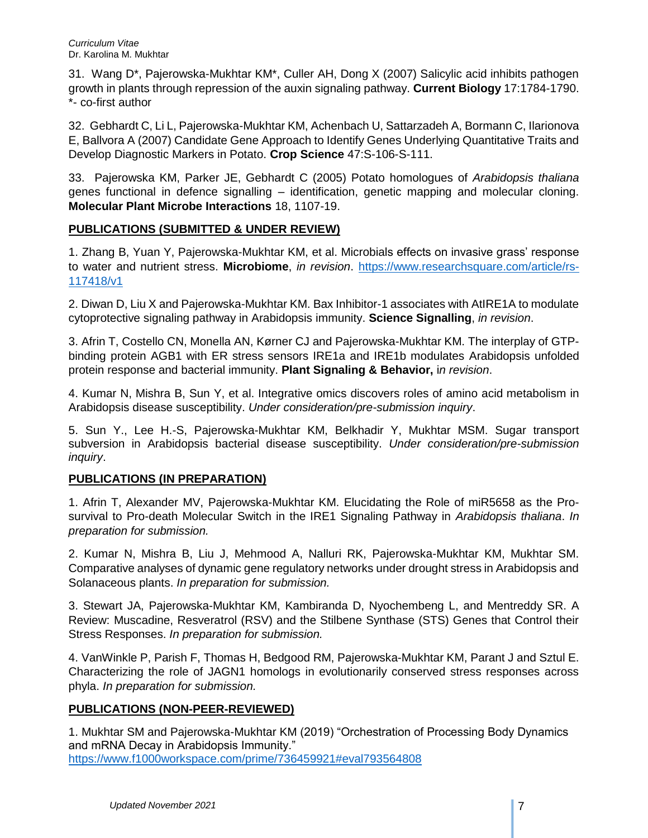31. Wang D\*, Pajerowska-Mukhtar KM\*, Culler AH, Dong X (2007) Salicylic acid inhibits pathogen growth in plants through repression of the auxin signaling pathway. **Current Biology** 17:1784-1790. \*- co-first author

32. Gebhardt C, Li L, Pajerowska-Mukhtar KM, Achenbach U, Sattarzadeh A, Bormann C, Ilarionova E, Ballvora A (2007) Candidate Gene Approach to Identify Genes Underlying Quantitative Traits and Develop Diagnostic Markers in Potato. **Crop Science** 47:S-106-S-111.

33. Pajerowska KM, Parker JE, Gebhardt C (2005) Potato homologues of *Arabidopsis thaliana* genes functional in defence signalling – identification, genetic mapping and molecular cloning. **Molecular Plant Microbe Interactions** 18, 1107-19.

## **PUBLICATIONS (SUBMITTED & UNDER REVIEW)**

1. Zhang B, Yuan Y, Pajerowska-Mukhtar KM, et al. Microbials effects on invasive grass' response to water and nutrient stress. **Microbiome**, *in revision*. https://www.researchsquare.com/article/rs-117418/v1

2. Diwan D, Liu X and Pajerowska-Mukhtar KM. Bax Inhibitor-1 associates with AtIRE1A to modulate cytoprotective signaling pathway in Arabidopsis immunity. **Science Signalling**, *in revision*.

3. Afrin T, Costello CN, Monella AN, Kørner CJ and Pajerowska-Mukhtar KM. The interplay of GTPbinding protein AGB1 with ER stress sensors IRE1a and IRE1b modulates Arabidopsis unfolded protein response and bacterial immunity. **Plant Signaling & Behavior,** i*n revision*.

4. Kumar N, Mishra B, Sun Y, et al. Integrative omics discovers roles of amino acid metabolism in Arabidopsis disease susceptibility. *Under consideration/pre-submission inquiry*.

5. Sun Y., Lee H.-S, Pajerowska-Mukhtar KM, Belkhadir Y, Mukhtar MSM. Sugar transport subversion in Arabidopsis bacterial disease susceptibility. *Under consideration/pre-submission inquiry*.

# **PUBLICATIONS (IN PREPARATION)**

1. Afrin T, Alexander MV, Pajerowska-Mukhtar KM. Elucidating the Role of miR5658 as the Prosurvival to Pro-death Molecular Switch in the IRE1 Signaling Pathway in *Arabidopsis thaliana*. *In preparation for submission.*

2. Kumar N, Mishra B, Liu J, Mehmood A, Nalluri RK, Pajerowska-Mukhtar KM, Mukhtar SM. Comparative analyses of dynamic gene regulatory networks under drought stress in Arabidopsis and Solanaceous plants. *In preparation for submission.*

3. Stewart JA, Pajerowska-Mukhtar KM, Kambiranda D, Nyochembeng L, and Mentreddy SR. A Review: Muscadine, Resveratrol (RSV) and the Stilbene Synthase (STS) Genes that Control their Stress Responses. *In preparation for submission.*

4. VanWinkle P, Parish F, Thomas H, Bedgood RM, Pajerowska-Mukhtar KM, Parant J and Sztul E. Characterizing the role of JAGN1 homologs in evolutionarily conserved stress responses across phyla. *In preparation for submission.*

### **PUBLICATIONS (NON-PEER-REVIEWED)**

1. Mukhtar SM and Pajerowska-Mukhtar KM (2019) "Orchestration of Processing Body Dynamics and mRNA Decay in Arabidopsis Immunity." <https://www.f1000workspace.com/prime/736459921#eval793564808>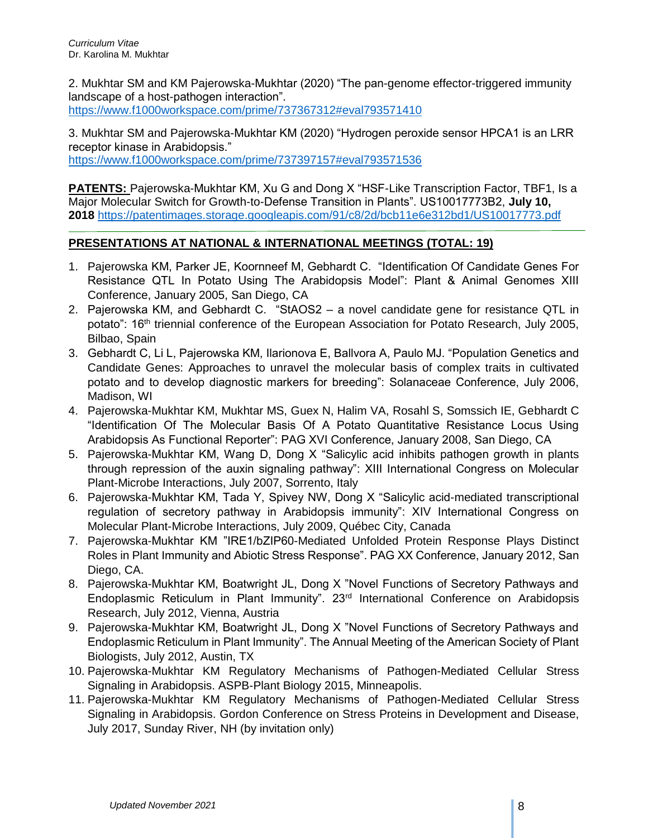2. Mukhtar SM and KM Pajerowska-Mukhtar (2020) "The pan-genome effector-triggered immunity landscape of a host-pathogen interaction".

<https://www.f1000workspace.com/prime/737367312#eval793571410>

3. Mukhtar SM and Pajerowska-Mukhtar KM (2020) "Hydrogen peroxide sensor HPCA1 is an LRR receptor kinase in Arabidopsis." <https://www.f1000workspace.com/prime/737397157#eval793571536>

**PATENTS:** Pajerowska-Mukhtar KM, Xu G and Dong X "HSF-Like Transcription Factor, TBF1, Is a Major Molecular Switch for Growth-to-Defense Transition in Plants". US10017773B2, **July 10, 2018** <https://patentimages.storage.googleapis.com/91/c8/2d/bcb11e6e312bd1/US10017773.pdf>

# **PRESENTATIONS AT NATIONAL & INTERNATIONAL MEETINGS (TOTAL: 19)**

- 1. Pajerowska KM, Parker JE, Koornneef M, Gebhardt C. "Identification Of Candidate Genes For Resistance QTL In Potato Using The Arabidopsis Model": Plant & Animal Genomes XIII Conference, January 2005, San Diego, CA
- 2. Pajerowska KM, and Gebhardt C. "StAOS2 a novel candidate gene for resistance QTL in potato": 16<sup>th</sup> triennial conference of the European Association for Potato Research, July 2005, Bilbao, Spain
- 3. Gebhardt C, Li L, Pajerowska KM, Ilarionova E, Ballvora A, Paulo MJ. "Population Genetics and Candidate Genes: Approaches to unravel the molecular basis of complex traits in cultivated potato and to develop diagnostic markers for breeding": Solanaceae Conference, July 2006, Madison, WI
- 4. Pajerowska-Mukhtar KM, Mukhtar MS, Guex N, Halim VA, Rosahl S, Somssich IE, Gebhardt C "Identification Of The Molecular Basis Of A Potato Quantitative Resistance Locus Using Arabidopsis As Functional Reporter": PAG XVI Conference, January 2008, San Diego, CA
- 5. Pajerowska-Mukhtar KM, Wang D, Dong X "Salicylic acid inhibits pathogen growth in plants through repression of the auxin signaling pathway": XIII International Congress on Molecular Plant-Microbe Interactions, July 2007, Sorrento, Italy
- 6. Pajerowska-Mukhtar KM, Tada Y, Spivey NW, Dong X "Salicylic acid-mediated transcriptional regulation of secretory pathway in Arabidopsis immunity": XIV International Congress on Molecular Plant-Microbe Interactions, July 2009, Québec City, Canada
- 7. Pajerowska-Mukhtar KM "IRE1/bZIP60-Mediated Unfolded Protein Response Plays Distinct Roles in Plant Immunity and Abiotic Stress Response". PAG XX Conference, January 2012, San Diego, CA.
- 8. Pajerowska-Mukhtar KM, Boatwright JL, Dong X "Novel Functions of Secretory Pathways and Endoplasmic Reticulum in Plant Immunity". 23rd International Conference on Arabidopsis Research, July 2012, Vienna, Austria
- 9. Pajerowska-Mukhtar KM, Boatwright JL, Dong X "Novel Functions of Secretory Pathways and Endoplasmic Reticulum in Plant Immunity". The Annual Meeting of the American Society of Plant Biologists, July 2012, Austin, TX
- 10. Pajerowska-Mukhtar KM Regulatory Mechanisms of Pathogen-Mediated Cellular Stress Signaling in Arabidopsis. ASPB-Plant Biology 2015, Minneapolis.
- 11. Pajerowska-Mukhtar KM Regulatory Mechanisms of Pathogen-Mediated Cellular Stress Signaling in Arabidopsis. Gordon Conference on Stress Proteins in Development and Disease, July 2017, Sunday River, NH (by invitation only)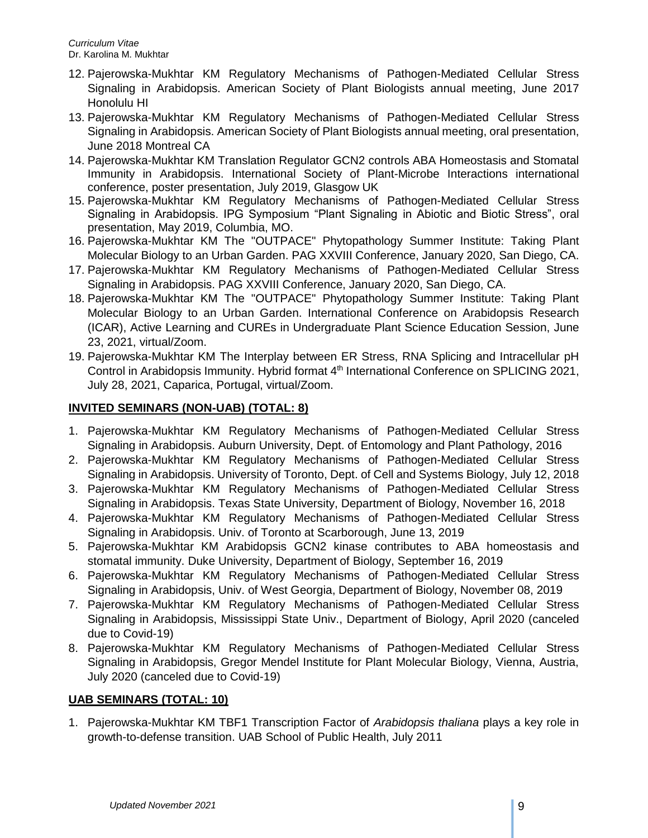- 12. Pajerowska-Mukhtar KM Regulatory Mechanisms of Pathogen-Mediated Cellular Stress Signaling in Arabidopsis. American Society of Plant Biologists annual meeting, June 2017 Honolulu HI
- 13. Pajerowska-Mukhtar KM Regulatory Mechanisms of Pathogen-Mediated Cellular Stress Signaling in Arabidopsis. American Society of Plant Biologists annual meeting, oral presentation, June 2018 Montreal CA
- 14. Pajerowska-Mukhtar KM Translation Regulator GCN2 controls ABA Homeostasis and Stomatal Immunity in Arabidopsis. International Society of Plant-Microbe Interactions international conference, poster presentation, July 2019, Glasgow UK
- 15. Pajerowska-Mukhtar KM Regulatory Mechanisms of Pathogen-Mediated Cellular Stress Signaling in Arabidopsis. IPG Symposium "Plant Signaling in Abiotic and Biotic Stress", oral presentation, May 2019, Columbia, MO.
- 16. Pajerowska-Mukhtar KM The "OUTPACE" Phytopathology Summer Institute: Taking Plant Molecular Biology to an Urban Garden. PAG XXVIII Conference, January 2020, San Diego, CA.
- 17. Pajerowska-Mukhtar KM Regulatory Mechanisms of Pathogen-Mediated Cellular Stress Signaling in Arabidopsis. PAG XXVIII Conference, January 2020, San Diego, CA.
- 18. Pajerowska-Mukhtar KM The "OUTPACE" Phytopathology Summer Institute: Taking Plant Molecular Biology to an Urban Garden. International Conference on Arabidopsis Research (ICAR), Active Learning and CUREs in Undergraduate Plant Science Education Session, June 23, 2021, virtual/Zoom.
- 19. Pajerowska-Mukhtar KM The Interplay between ER Stress, RNA Splicing and Intracellular pH Control in Arabidopsis Immunity. Hybrid format 4<sup>th</sup> International Conference on SPLICING 2021, July 28, 2021, Caparica, Portugal, virtual/Zoom.

# **INVITED SEMINARS (NON-UAB) (TOTAL: 8)**

- 1. Pajerowska-Mukhtar KM Regulatory Mechanisms of Pathogen-Mediated Cellular Stress Signaling in Arabidopsis. Auburn University, Dept. of Entomology and Plant Pathology, 2016
- 2. Pajerowska-Mukhtar KM Regulatory Mechanisms of Pathogen-Mediated Cellular Stress Signaling in Arabidopsis. University of Toronto, Dept. of Cell and Systems Biology, July 12, 2018
- 3. Pajerowska-Mukhtar KM Regulatory Mechanisms of Pathogen-Mediated Cellular Stress Signaling in Arabidopsis. Texas State University, Department of Biology, November 16, 2018
- 4. Pajerowska-Mukhtar KM Regulatory Mechanisms of Pathogen-Mediated Cellular Stress Signaling in Arabidopsis. Univ. of Toronto at Scarborough, June 13, 2019
- 5. Pajerowska-Mukhtar KM Arabidopsis GCN2 kinase contributes to ABA homeostasis and stomatal immunity. Duke University, Department of Biology, September 16, 2019
- 6. Pajerowska-Mukhtar KM Regulatory Mechanisms of Pathogen-Mediated Cellular Stress Signaling in Arabidopsis, Univ. of West Georgia, Department of Biology, November 08, 2019
- 7. Pajerowska-Mukhtar KM Regulatory Mechanisms of Pathogen-Mediated Cellular Stress Signaling in Arabidopsis, Mississippi State Univ., Department of Biology, April 2020 (canceled due to Covid-19)
- 8. Pajerowska-Mukhtar KM Regulatory Mechanisms of Pathogen-Mediated Cellular Stress Signaling in Arabidopsis, Gregor Mendel Institute for Plant Molecular Biology, Vienna, Austria, July 2020 (canceled due to Covid-19)

# **UAB SEMINARS (TOTAL: 10)**

1. Pajerowska-Mukhtar KM TBF1 Transcription Factor of *Arabidopsis thaliana* plays a key role in growth-to-defense transition. UAB School of Public Health, July 2011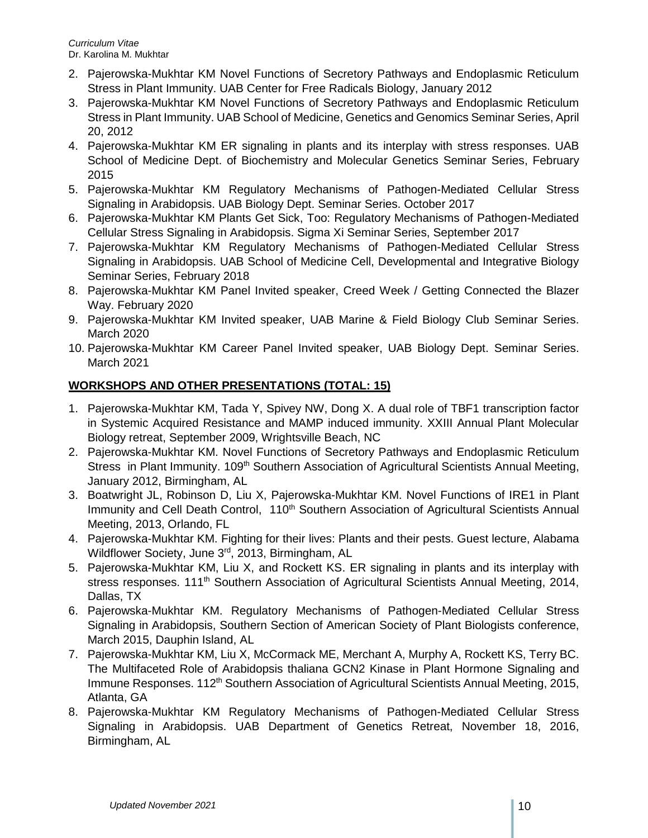- 2. Pajerowska-Mukhtar KM Novel Functions of Secretory Pathways and Endoplasmic Reticulum Stress in Plant Immunity. UAB Center for Free Radicals Biology, January 2012
- 3. Pajerowska-Mukhtar KM Novel Functions of Secretory Pathways and Endoplasmic Reticulum Stress in Plant Immunity. UAB School of Medicine, Genetics and Genomics Seminar Series, April 20, 2012
- 4. Pajerowska-Mukhtar KM ER signaling in plants and its interplay with stress responses. UAB School of Medicine Dept. of Biochemistry and Molecular Genetics Seminar Series, February 2015
- 5. Pajerowska-Mukhtar KM Regulatory Mechanisms of Pathogen-Mediated Cellular Stress Signaling in Arabidopsis. UAB Biology Dept. Seminar Series. October 2017
- 6. Pajerowska-Mukhtar KM Plants Get Sick, Too: Regulatory Mechanisms of Pathogen-Mediated Cellular Stress Signaling in Arabidopsis. Sigma Xi Seminar Series, September 2017
- 7. Pajerowska-Mukhtar KM Regulatory Mechanisms of Pathogen-Mediated Cellular Stress Signaling in Arabidopsis. UAB School of Medicine Cell, Developmental and Integrative Biology Seminar Series, February 2018
- 8. Pajerowska-Mukhtar KM Panel Invited speaker, Creed Week / Getting Connected the Blazer Way. February 2020
- 9. Pajerowska-Mukhtar KM Invited speaker, UAB Marine & Field Biology Club Seminar Series. March 2020
- 10. Pajerowska-Mukhtar KM Career Panel Invited speaker, UAB Biology Dept. Seminar Series. March 2021

# **WORKSHOPS AND OTHER PRESENTATIONS (TOTAL: 15)**

- 1. Pajerowska-Mukhtar KM, Tada Y, Spivey NW, Dong X. A dual role of TBF1 transcription factor in Systemic Acquired Resistance and MAMP induced immunity. XXIII Annual Plant Molecular Biology retreat, September 2009, Wrightsville Beach, NC
- 2. Pajerowska-Mukhtar KM. Novel Functions of Secretory Pathways and Endoplasmic Reticulum Stress in Plant Immunity. 109<sup>th</sup> Southern Association of Agricultural Scientists Annual Meeting, January 2012, Birmingham, AL
- 3. Boatwright JL, Robinson D, Liu X, Pajerowska-Mukhtar KM. Novel Functions of IRE1 in Plant Immunity and Cell Death Control, 110<sup>th</sup> Southern Association of Agricultural Scientists Annual Meeting, 2013, Orlando, FL
- 4. Pajerowska-Mukhtar KM. Fighting for their lives: Plants and their pests. Guest lecture, Alabama Wildflower Society, June 3rd, 2013, Birmingham, AL
- 5. Pajerowska-Mukhtar KM, Liu X, and Rockett KS. ER signaling in plants and its interplay with stress responses. 111<sup>th</sup> Southern Association of Agricultural Scientists Annual Meeting, 2014, Dallas, TX
- 6. Pajerowska-Mukhtar KM. Regulatory Mechanisms of Pathogen-Mediated Cellular Stress Signaling in Arabidopsis, Southern Section of American Society of Plant Biologists conference, March 2015, Dauphin Island, AL
- 7. Pajerowska-Mukhtar KM, Liu X, McCormack ME, Merchant A, Murphy A, Rockett KS, Terry BC. The Multifaceted Role of Arabidopsis thaliana GCN2 Kinase in Plant Hormone Signaling and Immune Responses. 112<sup>th</sup> Southern Association of Agricultural Scientists Annual Meeting, 2015, Atlanta, GA
- 8. Pajerowska-Mukhtar KM Regulatory Mechanisms of Pathogen-Mediated Cellular Stress Signaling in Arabidopsis. UAB Department of Genetics Retreat, November 18, 2016, Birmingham, AL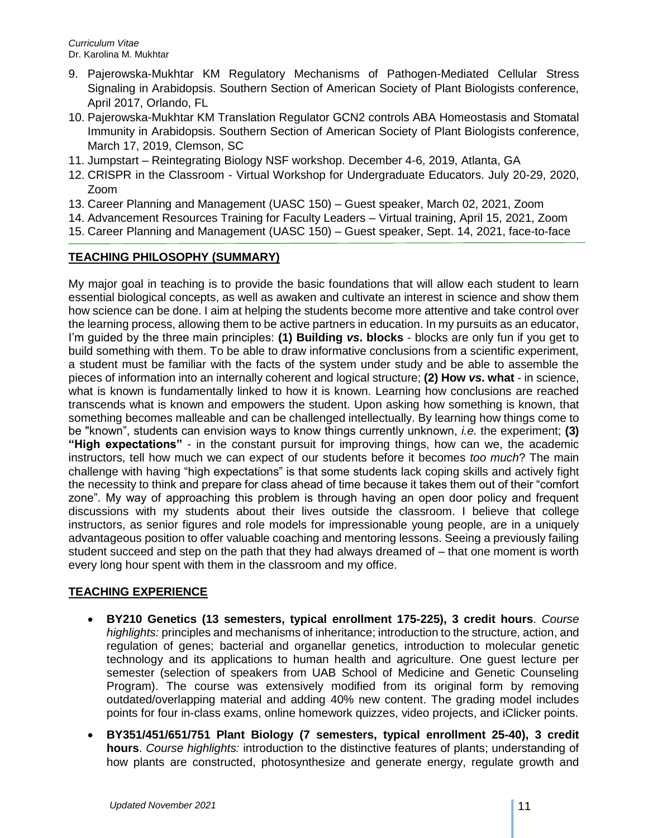- 9. Pajerowska-Mukhtar KM Regulatory Mechanisms of Pathogen-Mediated Cellular Stress Signaling in Arabidopsis. Southern Section of American Society of Plant Biologists conference, April 2017, Orlando, FL
- 10. Pajerowska-Mukhtar KM Translation Regulator GCN2 controls ABA Homeostasis and Stomatal Immunity in Arabidopsis. Southern Section of American Society of Plant Biologists conference, March 17, 2019, Clemson, SC
- 11. Jumpstart Reintegrating Biology NSF workshop. December 4-6, 2019, Atlanta, GA
- 12. CRISPR in the Classroom Virtual Workshop for Undergraduate Educators. July 20-29, 2020, Zoom
- 13. Career Planning and Management (UASC 150) Guest speaker, March 02, 2021, Zoom
- 14. Advancement Resources Training for Faculty Leaders Virtual training, April 15, 2021, Zoom
- 15. Career Planning and Management (UASC 150) Guest speaker, Sept. 14, 2021, face-to-face

# **TEACHING PHILOSOPHY (SUMMARY)**

My major goal in teaching is to provide the basic foundations that will allow each student to learn essential biological concepts, as well as awaken and cultivate an interest in science and show them how science can be done. I aim at helping the students become more attentive and take control over the learning process, allowing them to be active partners in education. In my pursuits as an educator, I'm guided by the three main principles: **(1) Building** *vs***. blocks** - blocks are only fun if you get to build something with them. To be able to draw informative conclusions from a scientific experiment, a student must be familiar with the facts of the system under study and be able to assemble the pieces of information into an internally coherent and logical structure; **(2) How** *vs***. what** - in science, what is known is fundamentally linked to how it is known. Learning how conclusions are reached transcends what is known and empowers the student. Upon asking how something is known, that something becomes malleable and can be challenged intellectually. By learning how things come to be "known", students can envision ways to know things currently unknown, *i.e.* the experiment; **(3) "High expectations"** - in the constant pursuit for improving things, how can we, the academic instructors, tell how much we can expect of our students before it becomes *too much*? The main challenge with having "high expectations" is that some students lack coping skills and actively fight the necessity to think and prepare for class ahead of time because it takes them out of their "comfort zone". My way of approaching this problem is through having an open door policy and frequent discussions with my students about their lives outside the classroom. I believe that college instructors, as senior figures and role models for impressionable young people, are in a uniquely advantageous position to offer valuable coaching and mentoring lessons. Seeing a previously failing student succeed and step on the path that they had always dreamed of – that one moment is worth every long hour spent with them in the classroom and my office.

# **TEACHING EXPERIENCE**

- **BY210 Genetics (13 semesters, typical enrollment 175-225), 3 credit hours**. *Course highlights:* principles and mechanisms of inheritance; introduction to the structure, action, and regulation of genes; bacterial and organellar genetics, introduction to molecular genetic technology and its applications to human health and agriculture. One guest lecture per semester (selection of speakers from UAB School of Medicine and Genetic Counseling Program). The course was extensively modified from its original form by removing outdated/overlapping material and adding 40% new content. The grading model includes points for four in-class exams, online homework quizzes, video projects, and iClicker points.
- **BY351/451/651/751 Plant Biology (7 semesters, typical enrollment 25-40), 3 credit hours**. *Course highlights:* introduction to the distinctive features of plants; understanding of how plants are constructed, photosynthesize and generate energy, regulate growth and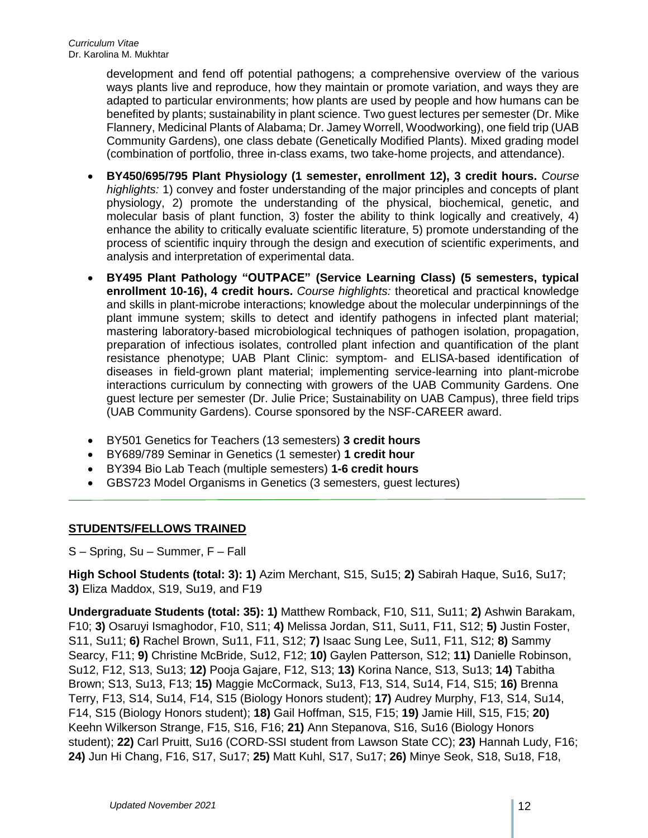development and fend off potential pathogens; a comprehensive overview of the various ways plants live and reproduce, how they maintain or promote variation, and ways they are adapted to particular environments; how plants are used by people and how humans can be benefited by plants; sustainability in plant science. Two guest lectures per semester (Dr. Mike Flannery, Medicinal Plants of Alabama; Dr. Jamey Worrell, Woodworking), one field trip (UAB Community Gardens), one class debate (Genetically Modified Plants). Mixed grading model (combination of portfolio, three in-class exams, two take-home projects, and attendance).

- **BY450/695/795 Plant Physiology (1 semester, enrollment 12), 3 credit hours.** *Course highlights:* 1) convey and foster understanding of the major principles and concepts of plant physiology, 2) promote the understanding of the physical, biochemical, genetic, and molecular basis of plant function, 3) foster the ability to think logically and creatively, 4) enhance the ability to critically evaluate scientific literature, 5) promote understanding of the process of scientific inquiry through the design and execution of scientific experiments, and analysis and interpretation of experimental data.
- **BY495 Plant Pathology "OUTPACE" (Service Learning Class) (5 semesters, typical enrollment 10-16), 4 credit hours.** *Course highlights:* theoretical and practical knowledge and skills in plant-microbe interactions; knowledge about the molecular underpinnings of the plant immune system; skills to detect and identify pathogens in infected plant material; mastering laboratory-based microbiological techniques of pathogen isolation, propagation, preparation of infectious isolates, controlled plant infection and quantification of the plant resistance phenotype; UAB Plant Clinic: symptom- and ELISA-based identification of diseases in field-grown plant material; implementing service-learning into plant-microbe interactions curriculum by connecting with growers of the UAB Community Gardens. One guest lecture per semester (Dr. Julie Price; Sustainability on UAB Campus), three field trips (UAB Community Gardens). Course sponsored by the NSF-CAREER award.
- BY501 Genetics for Teachers (13 semesters) **3 credit hours**
- BY689/789 Seminar in Genetics (1 semester) **1 credit hour**
- BY394 Bio Lab Teach (multiple semesters) **1-6 credit hours**
- GBS723 Model Organisms in Genetics (3 semesters, guest lectures)

### **STUDENTS/FELLOWS TRAINED**

S – Spring, Su – Summer, F – Fall

**High School Students (total: 3): 1)** Azim Merchant, S15, Su15; **2)** Sabirah Haque, Su16, Su17; **3)** Eliza Maddox, S19, Su19, and F19

**Undergraduate Students (total: 35): 1)** Matthew Romback, F10, S11, Su11; **2)** Ashwin Barakam, F10; **3)** Osaruyi Ismaghodor, F10, S11; **4)** Melissa Jordan, S11, Su11, F11, S12; **5)** Justin Foster, S11, Su11; **6)** Rachel Brown, Su11, F11, S12; **7)** Isaac Sung Lee, Su11, F11, S12; **8)** Sammy Searcy, F11; **9)** Christine McBride, Su12, F12; **10)** Gaylen Patterson, S12; **11)** Danielle Robinson, Su12, F12, S13, Su13; **12)** Pooja Gajare, F12, S13; **13)** Korina Nance, S13, Su13; **14)** Tabitha Brown; S13, Su13, F13; **15)** Maggie McCormack, Su13, F13, S14, Su14, F14, S15; **16)** Brenna Terry, F13, S14, Su14, F14, S15 (Biology Honors student); **17)** Audrey Murphy, F13, S14, Su14, F14, S15 (Biology Honors student); **18)** Gail Hoffman, S15, F15; **19)** Jamie Hill, S15, F15; **20)** Keehn Wilkerson Strange, F15, S16, F16; **21)** Ann Stepanova, S16, Su16 (Biology Honors student); **22)** Carl Pruitt, Su16 (CORD-SSI student from Lawson State CC); **23)** Hannah Ludy, F16; **24)** Jun Hi Chang, F16, S17, Su17; **25)** Matt Kuhl, S17, Su17; **26)** Minye Seok, S18, Su18, F18,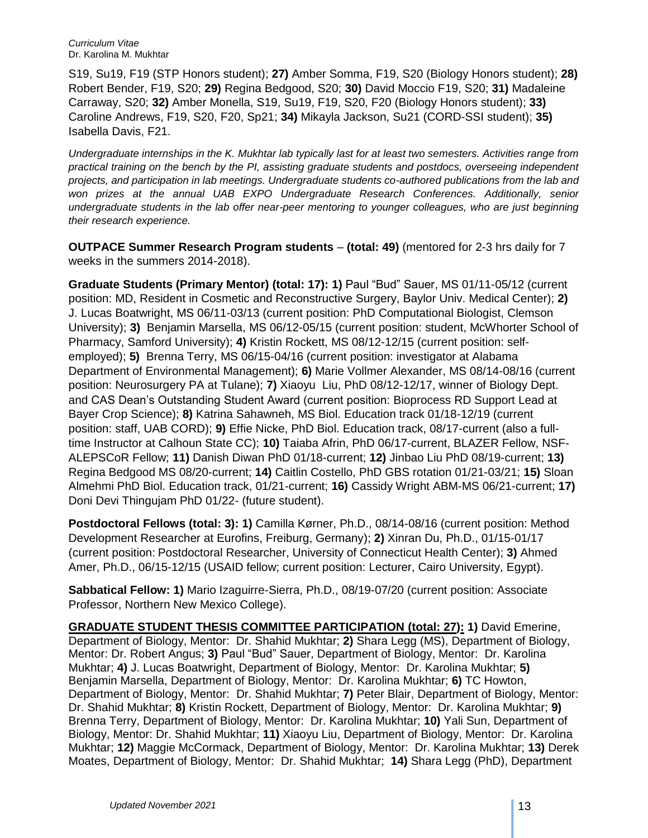S19, Su19, F19 (STP Honors student); **27)** Amber Somma, F19, S20 (Biology Honors student); **28)** Robert Bender, F19, S20; **29)** Regina Bedgood, S20; **30)** David Moccio F19, S20; **31)** Madaleine Carraway, S20; **32)** Amber Monella, S19, Su19, F19, S20, F20 (Biology Honors student); **33)** Caroline Andrews, F19, S20, F20, Sp21; **34)** Mikayla Jackson, Su21 (CORD-SSI student); **35)** Isabella Davis, F21.

*Undergraduate internships in the K. Mukhtar lab typically last for at least two semesters. Activities range from practical training on the bench by the PI, assisting graduate students and postdocs, overseeing independent projects, and participation in lab meetings. Undergraduate students co-authored publications from the lab and*  won prizes at the annual UAB EXPO Undergraduate Research Conferences. Additionally, senior *undergraduate students in the lab offer near-peer mentoring to younger colleagues, who are just beginning their research experience.* 

**OUTPACE Summer Research Program students** – **(total: 49)** (mentored for 2-3 hrs daily for 7 weeks in the summers 2014-2018).

**Graduate Students (Primary Mentor) (total: 17): 1)** Paul "Bud" Sauer, MS 01/11-05/12 (current position: MD, Resident in Cosmetic and Reconstructive Surgery, Baylor Univ. Medical Center); **2)** J. Lucas Boatwright, MS 06/11-03/13 (current position: PhD Computational Biologist, Clemson University); **3)** Benjamin Marsella, MS 06/12-05/15 (current position: student, McWhorter School of Pharmacy, Samford University); **4)** Kristin Rockett, MS 08/12-12/15 (current position: selfemployed); **5)** Brenna Terry, MS 06/15-04/16 (current position: investigator at Alabama Department of Environmental Management); **6)** Marie Vollmer Alexander, MS 08/14-08/16 (current position: Neurosurgery PA at Tulane); **7)** Xiaoyu Liu, PhD 08/12-12/17, winner of Biology Dept. and CAS Dean's Outstanding Student Award (current position: Bioprocess RD Support Lead at Bayer Crop Science); **8)** Katrina Sahawneh, MS Biol. Education track 01/18-12/19 (current position: staff, UAB CORD); **9)** Effie Nicke, PhD Biol. Education track, 08/17-current (also a fulltime Instructor at Calhoun State CC); **10)** Taiaba Afrin, PhD 06/17-current, BLAZER Fellow, NSF-ALEPSCoR Fellow; **11)** Danish Diwan PhD 01/18-current; **12)** Jinbao Liu PhD 08/19-current; **13)** Regina Bedgood MS 08/20-current; **14)** Caitlin Costello, PhD GBS rotation 01/21-03/21; **15)** Sloan Almehmi PhD Biol. Education track, 01/21-current; **16)** Cassidy Wright ABM-MS 06/21-current; **17)** Doni Devi Thingujam PhD 01/22- (future student).

**Postdoctoral Fellows (total: 3): 1)** Camilla Kørner, Ph.D., 08/14-08/16 (current position: Method Development Researcher at Eurofins, Freiburg, Germany); **2)** Xinran Du, Ph.D., 01/15-01/17 (current position: Postdoctoral Researcher, University of Connecticut Health Center); **3)** Ahmed Amer, Ph.D., 06/15-12/15 (USAID fellow; current position: Lecturer, Cairo University, Egypt).

**Sabbatical Fellow: 1)** Mario Izaguirre-Sierra, Ph.D., 08/19-07/20 (current position: Associate Professor, Northern New Mexico College).

**GRADUATE STUDENT THESIS COMMITTEE PARTICIPATION (total: 27): 1)** David Emerine, Department of Biology, Mentor: Dr. Shahid Mukhtar; **2)** Shara Legg (MS), Department of Biology, Mentor: Dr. Robert Angus; **3)** Paul "Bud" Sauer, Department of Biology, Mentor: Dr. Karolina Mukhtar; **4)** J. Lucas Boatwright, Department of Biology, Mentor: Dr. Karolina Mukhtar; **5)** Benjamin Marsella, Department of Biology, Mentor: Dr. Karolina Mukhtar; **6)** TC Howton, Department of Biology, Mentor: Dr. Shahid Mukhtar; **7)** Peter Blair, Department of Biology, Mentor: Dr. Shahid Mukhtar; **8)** Kristin Rockett, Department of Biology, Mentor: Dr. Karolina Mukhtar; **9)** Brenna Terry, Department of Biology, Mentor: Dr. Karolina Mukhtar; **10)** Yali Sun, Department of Biology, Mentor: Dr. Shahid Mukhtar; **11)** Xiaoyu Liu, Department of Biology, Mentor: Dr. Karolina Mukhtar; **12)** Maggie McCormack, Department of Biology, Mentor: Dr. Karolina Mukhtar; **13)** Derek Moates, Department of Biology, Mentor: Dr. Shahid Mukhtar; **14)** Shara Legg (PhD), Department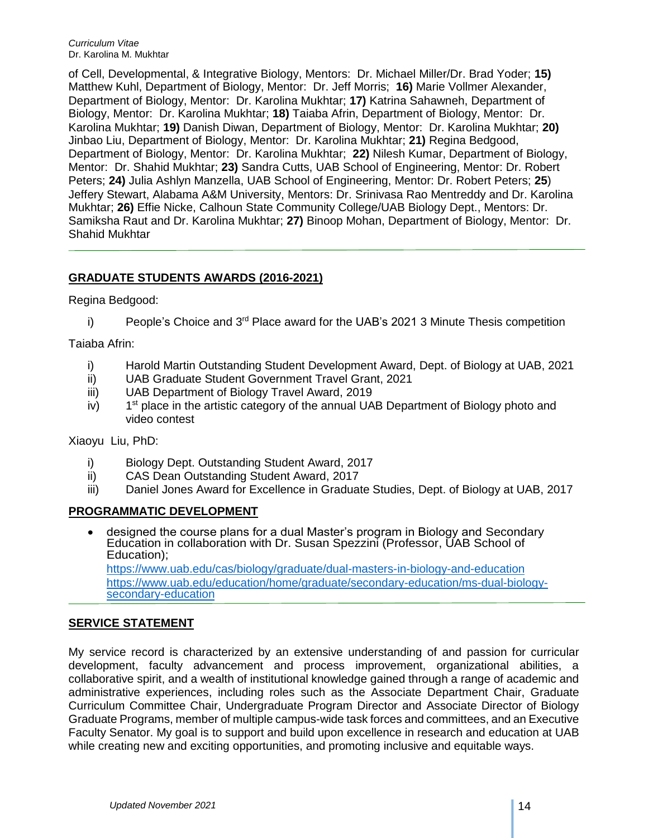of Cell, Developmental, & Integrative Biology, Mentors: Dr. Michael Miller/Dr. Brad Yoder; **15)** Matthew Kuhl, Department of Biology, Mentor: Dr. Jeff Morris; **16)** Marie Vollmer Alexander, Department of Biology, Mentor: Dr. Karolina Mukhtar; **17)** Katrina Sahawneh, Department of Biology, Mentor: Dr. Karolina Mukhtar; **18)** Taiaba Afrin, Department of Biology, Mentor: Dr. Karolina Mukhtar; **19)** Danish Diwan, Department of Biology, Mentor: Dr. Karolina Mukhtar; **20)** Jinbao Liu, Department of Biology, Mentor: Dr. Karolina Mukhtar; **21)** Regina Bedgood, Department of Biology, Mentor: Dr. Karolina Mukhtar; **22)** Nilesh Kumar, Department of Biology, Mentor: Dr. Shahid Mukhtar; **23)** Sandra Cutts, UAB School of Engineering, Mentor: Dr. Robert Peters; **24)** Julia Ashlyn Manzella, UAB School of Engineering, Mentor: Dr. Robert Peters; **25**) Jeffery Stewart, Alabama A&M University, Mentors: Dr. Srinivasa Rao Mentreddy and Dr. Karolina Mukhtar; **26)** Effie Nicke, Calhoun State Community College/UAB Biology Dept., Mentors: Dr. Samiksha Raut and Dr. Karolina Mukhtar; **27)** Binoop Mohan, Department of Biology, Mentor: Dr. Shahid Mukhtar

# **GRADUATE STUDENTS AWARDS (2016-2021)**

Regina Bedgood:

i) People's Choice and  $3<sup>rd</sup>$  Place award for the UAB's 2021 3 Minute Thesis competition

Taiaba Afrin:

- i) Harold Martin Outstanding Student Development Award, Dept. of Biology at UAB, 2021
- ii) UAB Graduate Student Government Travel Grant, 2021
- iii) UAB Department of Biology Travel Award, 2019
- $iv)$  $1<sup>st</sup>$  place in the artistic category of the annual UAB Department of Biology photo and video contest

Xiaoyu Liu, PhD:

- i) Biology Dept. Outstanding Student Award, 2017
- ii) CAS Dean Outstanding Student Award, 2017
- iii) Daniel Jones Award for Excellence in Graduate Studies, Dept. of Biology at UAB, 2017

### **PROGRAMMATIC DEVELOPMENT**

 designed the course plans for a dual Master's program in Biology and Secondary Education in collaboration with Dr. Susan Spezzini (Professor, UAB School of Education);

https://www.uab.edu/cas/biology/graduate/dual-masters-in-biology-and-education https://www.uab.edu/education/home/graduate/secondary-education/ms-dual-biologysecondary-education

### **SERVICE STATEMENT**

My service record is characterized by an extensive understanding of and passion for curricular development, faculty advancement and process improvement, organizational abilities, a collaborative spirit, and a wealth of institutional knowledge gained through a range of academic and administrative experiences, including roles such as the Associate Department Chair, Graduate Curriculum Committee Chair, Undergraduate Program Director and Associate Director of Biology Graduate Programs, member of multiple campus-wide task forces and committees, and an Executive Faculty Senator. My goal is to support and build upon excellence in research and education at UAB while creating new and exciting opportunities, and promoting inclusive and equitable ways.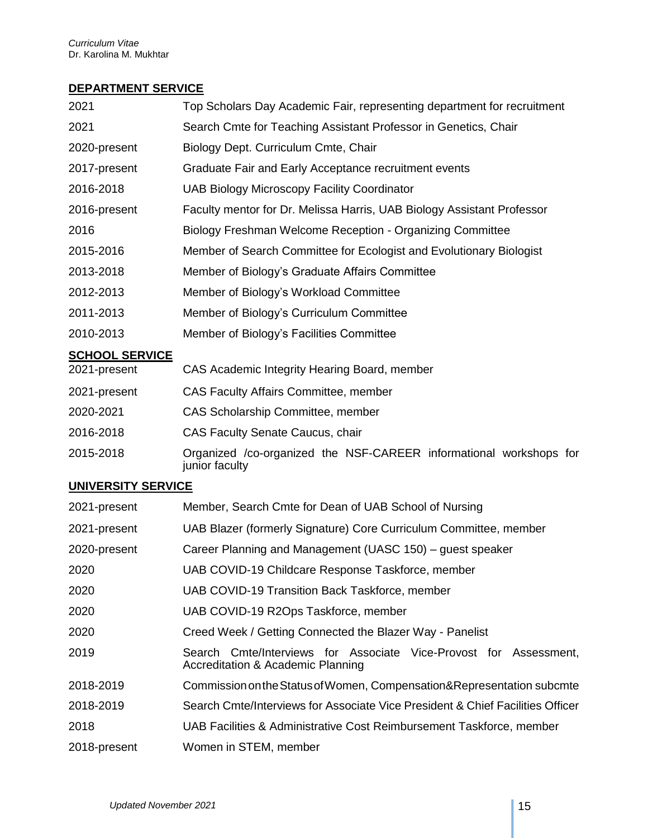## **DEPARTMENT SERVICE**

| 2021                      | Top Scholars Day Academic Fair, representing department for recruitment              |
|---------------------------|--------------------------------------------------------------------------------------|
| 2021                      | Search Cmte for Teaching Assistant Professor in Genetics, Chair                      |
| 2020-present              | Biology Dept. Curriculum Cmte, Chair                                                 |
| 2017-present              | Graduate Fair and Early Acceptance recruitment events                                |
| 2016-2018                 | <b>UAB Biology Microscopy Facility Coordinator</b>                                   |
| 2016-present              | Faculty mentor for Dr. Melissa Harris, UAB Biology Assistant Professor               |
| 2016                      | Biology Freshman Welcome Reception - Organizing Committee                            |
| 2015-2016                 | Member of Search Committee for Ecologist and Evolutionary Biologist                  |
| 2013-2018                 | Member of Biology's Graduate Affairs Committee                                       |
| 2012-2013                 | Member of Biology's Workload Committee                                               |
| 2011-2013                 | Member of Biology's Curriculum Committee                                             |
| 2010-2013                 | Member of Biology's Facilities Committee                                             |
| <b>SCHOOL SERVICE</b>     |                                                                                      |
| 2021-present              | CAS Academic Integrity Hearing Board, member                                         |
| 2021-present              | CAS Faculty Affairs Committee, member                                                |
| 2020-2021                 | CAS Scholarship Committee, member                                                    |
| 2016-2018                 | <b>CAS Faculty Senate Caucus, chair</b>                                              |
| 2015-2018                 | Organized /co-organized the NSF-CAREER informational workshops for<br>junior faculty |
| <b>UNIVERSITY SERVICE</b> |                                                                                      |
| 2021-present              | Member, Search Cmte for Dean of UAB School of Nursing                                |
| 2021-present              | UAB Blazer (formerly Signature) Core Curriculum Committee, member                    |
| 2020-present              | Career Planning and Management (UASC 150) – guest speaker                            |
| 2020                      | UAB COVID-19 Childcare Response Taskforce, member                                    |
| 2020                      | UAB COVID-19 Transition Back Taskforce, member                                       |
| 2020                      | UAB COVID-19 R2Ops Taskforce, member                                                 |
| 2020                      | Creed Week / Getting Connected the Blazer Way - Panelist                             |
|                           |                                                                                      |

- 2019 Search Cmte/Interviews for Associate Vice-Provost for Assessment, Accreditation & Academic Planning 2018-2019 CommissionontheStatusofWomen, Compensation&Representation subcmte
- 2018-2019 Search Cmte/Interviews for Associate Vice President & Chief Facilities Officer
- 2018 UAB Facilities & Administrative Cost Reimbursement Taskforce, member
- 2018-present Women in STEM, member